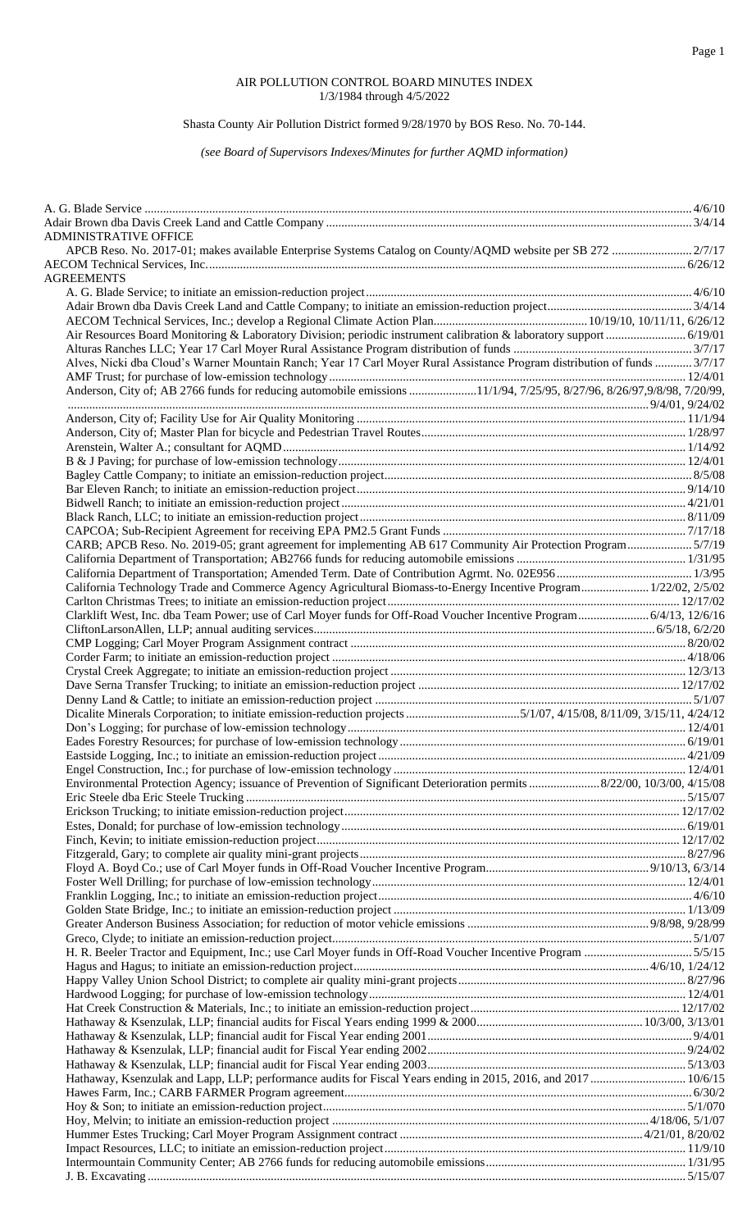### Page 1

#### AIR POLLUTION CONTROL BOARD MINUTES INDEX 1/3/1984 through 4/5/2022

# Shasta County Air Pollution District formed 9/28/1970 by BOS Reso. No. 70-144.

### *(see Board of Supervisors Indexes/Minutes for further AQMD information)*

| <b>ADMINISTRATIVE OFFICE</b>                                                                                              |  |
|---------------------------------------------------------------------------------------------------------------------------|--|
|                                                                                                                           |  |
| <b>AGREEMENTS</b>                                                                                                         |  |
|                                                                                                                           |  |
|                                                                                                                           |  |
|                                                                                                                           |  |
|                                                                                                                           |  |
|                                                                                                                           |  |
| Alves, Nicki dba Cloud's Warner Mountain Ranch; Year 17 Carl Moyer Rural Assistance Program distribution of funds  3/7/17 |  |
|                                                                                                                           |  |
| Anderson, City of; AB 2766 funds for reducing automobile emissions 11/1/94, 7/25/95, 8/27/96, 8/26/97,9/8/98, 7/20/99,    |  |
|                                                                                                                           |  |
|                                                                                                                           |  |
|                                                                                                                           |  |
|                                                                                                                           |  |
|                                                                                                                           |  |
|                                                                                                                           |  |
|                                                                                                                           |  |
|                                                                                                                           |  |
|                                                                                                                           |  |
| CARB; APCB Reso. No. 2019-05; grant agreement for implementing AB 617 Community Air Protection Program5/7/19              |  |
|                                                                                                                           |  |
|                                                                                                                           |  |
| California Technology Trade and Commerce Agency Agricultural Biomass-to-Energy Incentive Program 1/22/02, 2/5/02          |  |
|                                                                                                                           |  |
| Clarklift West, Inc. dba Team Power; use of Carl Moyer funds for Off-Road Voucher Incentive Program 6/4/13, 12/6/16       |  |
|                                                                                                                           |  |
|                                                                                                                           |  |
|                                                                                                                           |  |
|                                                                                                                           |  |
|                                                                                                                           |  |
|                                                                                                                           |  |
|                                                                                                                           |  |
|                                                                                                                           |  |
|                                                                                                                           |  |
|                                                                                                                           |  |
| Environmental Protection Agency; issuance of Prevention of Significant Deterioration permits 8/22/00, 10/3/00, 4/15/08    |  |
|                                                                                                                           |  |
|                                                                                                                           |  |
|                                                                                                                           |  |
|                                                                                                                           |  |
|                                                                                                                           |  |
|                                                                                                                           |  |
|                                                                                                                           |  |
|                                                                                                                           |  |
|                                                                                                                           |  |
|                                                                                                                           |  |
| H. R. Beeler Tractor and Equipment, Inc.; use Carl Moyer funds in Off-Road Voucher Incentive Program 5/5/15               |  |
|                                                                                                                           |  |
|                                                                                                                           |  |
|                                                                                                                           |  |
|                                                                                                                           |  |
|                                                                                                                           |  |
|                                                                                                                           |  |
|                                                                                                                           |  |
| Hathaway, Ksenzulak and Lapp, LLP; performance audits for Fiscal Years ending in 2015, 2016, and 2017  10/6/15            |  |
|                                                                                                                           |  |
|                                                                                                                           |  |
|                                                                                                                           |  |
|                                                                                                                           |  |
|                                                                                                                           |  |
|                                                                                                                           |  |
|                                                                                                                           |  |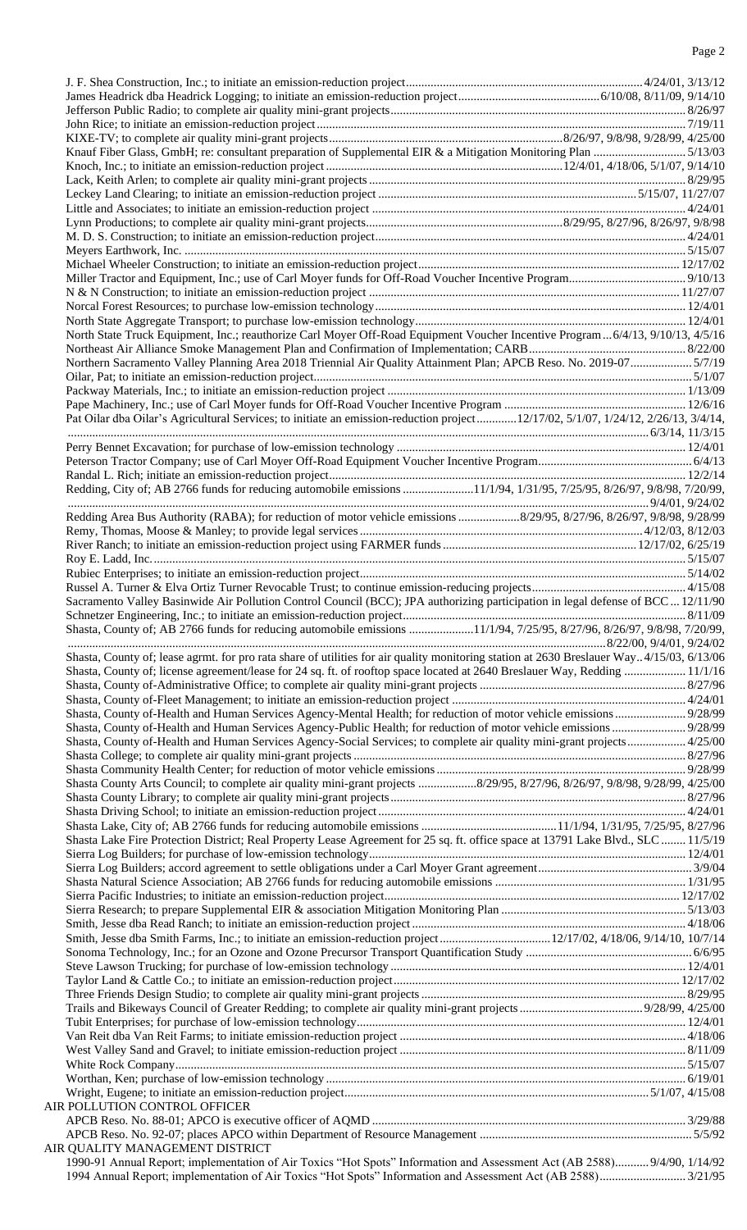| Knauf Fiber Glass, GmbH; re: consultant preparation of Supplemental EIR & a Mitigation Monitoring Plan 5/13/03                                                                                                                                                                                                                       |  |
|--------------------------------------------------------------------------------------------------------------------------------------------------------------------------------------------------------------------------------------------------------------------------------------------------------------------------------------|--|
|                                                                                                                                                                                                                                                                                                                                      |  |
|                                                                                                                                                                                                                                                                                                                                      |  |
|                                                                                                                                                                                                                                                                                                                                      |  |
|                                                                                                                                                                                                                                                                                                                                      |  |
|                                                                                                                                                                                                                                                                                                                                      |  |
|                                                                                                                                                                                                                                                                                                                                      |  |
|                                                                                                                                                                                                                                                                                                                                      |  |
|                                                                                                                                                                                                                                                                                                                                      |  |
|                                                                                                                                                                                                                                                                                                                                      |  |
|                                                                                                                                                                                                                                                                                                                                      |  |
|                                                                                                                                                                                                                                                                                                                                      |  |
|                                                                                                                                                                                                                                                                                                                                      |  |
|                                                                                                                                                                                                                                                                                                                                      |  |
|                                                                                                                                                                                                                                                                                                                                      |  |
|                                                                                                                                                                                                                                                                                                                                      |  |
|                                                                                                                                                                                                                                                                                                                                      |  |
| North State Truck Equipment, Inc.; reauthorize Carl Moyer Off-Road Equipment Voucher Incentive Program 6/4/13, 9/10/13, 4/5/16                                                                                                                                                                                                       |  |
|                                                                                                                                                                                                                                                                                                                                      |  |
| Northern Sacramento Valley Planning Area 2018 Triennial Air Quality Attainment Plan; APCB Reso. No. 2019-075/7/19                                                                                                                                                                                                                    |  |
|                                                                                                                                                                                                                                                                                                                                      |  |
|                                                                                                                                                                                                                                                                                                                                      |  |
|                                                                                                                                                                                                                                                                                                                                      |  |
| Pat Oilar dba Oilar's Agricultural Services; to initiate an emission-reduction project12/17/02, 5/1/07, 1/24/12, 2/26/13, 3/4/14,                                                                                                                                                                                                    |  |
|                                                                                                                                                                                                                                                                                                                                      |  |
|                                                                                                                                                                                                                                                                                                                                      |  |
|                                                                                                                                                                                                                                                                                                                                      |  |
|                                                                                                                                                                                                                                                                                                                                      |  |
| Redding, City of; AB 2766 funds for reducing automobile emissions 11/1/94, 1/31/95, 7/25/95, 8/26/97, 9/8/98, 7/20/99,                                                                                                                                                                                                               |  |
|                                                                                                                                                                                                                                                                                                                                      |  |
|                                                                                                                                                                                                                                                                                                                                      |  |
|                                                                                                                                                                                                                                                                                                                                      |  |
|                                                                                                                                                                                                                                                                                                                                      |  |
|                                                                                                                                                                                                                                                                                                                                      |  |
|                                                                                                                                                                                                                                                                                                                                      |  |
|                                                                                                                                                                                                                                                                                                                                      |  |
| Sacramento Valley Basinwide Air Pollution Control Council (BCC); JPA authorizing participation in legal defense of BCC  12/11/90                                                                                                                                                                                                     |  |
|                                                                                                                                                                                                                                                                                                                                      |  |
| Shasta, County of; AB 2766 funds for reducing automobile emissions 11/1/94, 7/25/95, 8/27/96, 8/26/97, 9/8/98, 7/20/99,                                                                                                                                                                                                              |  |
|                                                                                                                                                                                                                                                                                                                                      |  |
| Shasta, County of; lease agrmt. for pro rata share of utilities for air quality monitoring station at 2630 Breslauer Way4/15/03, 6/13/06                                                                                                                                                                                             |  |
| Shasta, County of; license agreement/lease for 24 sq. ft. of rooftop space located at 2640 Breslauer Way, Redding  11/1/16                                                                                                                                                                                                           |  |
|                                                                                                                                                                                                                                                                                                                                      |  |
|                                                                                                                                                                                                                                                                                                                                      |  |
| Shasta, County of-Health and Human Services Agency-Mental Health; for reduction of motor vehicle emissions 9/28/99                                                                                                                                                                                                                   |  |
|                                                                                                                                                                                                                                                                                                                                      |  |
| Shasta, County of-Health and Human Services Agency-Social Services; to complete air quality mini-grant projects 4/25/00                                                                                                                                                                                                              |  |
|                                                                                                                                                                                                                                                                                                                                      |  |
|                                                                                                                                                                                                                                                                                                                                      |  |
|                                                                                                                                                                                                                                                                                                                                      |  |
|                                                                                                                                                                                                                                                                                                                                      |  |
|                                                                                                                                                                                                                                                                                                                                      |  |
|                                                                                                                                                                                                                                                                                                                                      |  |
|                                                                                                                                                                                                                                                                                                                                      |  |
|                                                                                                                                                                                                                                                                                                                                      |  |
|                                                                                                                                                                                                                                                                                                                                      |  |
|                                                                                                                                                                                                                                                                                                                                      |  |
|                                                                                                                                                                                                                                                                                                                                      |  |
|                                                                                                                                                                                                                                                                                                                                      |  |
|                                                                                                                                                                                                                                                                                                                                      |  |
|                                                                                                                                                                                                                                                                                                                                      |  |
|                                                                                                                                                                                                                                                                                                                                      |  |
|                                                                                                                                                                                                                                                                                                                                      |  |
|                                                                                                                                                                                                                                                                                                                                      |  |
|                                                                                                                                                                                                                                                                                                                                      |  |
|                                                                                                                                                                                                                                                                                                                                      |  |
|                                                                                                                                                                                                                                                                                                                                      |  |
|                                                                                                                                                                                                                                                                                                                                      |  |
|                                                                                                                                                                                                                                                                                                                                      |  |
|                                                                                                                                                                                                                                                                                                                                      |  |
|                                                                                                                                                                                                                                                                                                                                      |  |
|                                                                                                                                                                                                                                                                                                                                      |  |
|                                                                                                                                                                                                                                                                                                                                      |  |
|                                                                                                                                                                                                                                                                                                                                      |  |
|                                                                                                                                                                                                                                                                                                                                      |  |
|                                                                                                                                                                                                                                                                                                                                      |  |
| Shasta County Arts Council; to complete air quality mini-grant projects 8/29/95, 8/27/96, 8/26/97, 9/8/98, 9/28/99, 4/25/00<br>Shasta Lake Fire Protection District; Real Property Lease Agreement for 25 sq. ft. office space at 13791 Lake Blvd., SLC  11/5/19<br>AIR POLLUTION CONTROL OFFICER<br>AIR QUALITY MANAGEMENT DISTRICT |  |
| 1990-91 Annual Report; implementation of Air Toxics "Hot Spots" Information and Assessment Act (AB 2588) 9/4/90, 1/14/92                                                                                                                                                                                                             |  |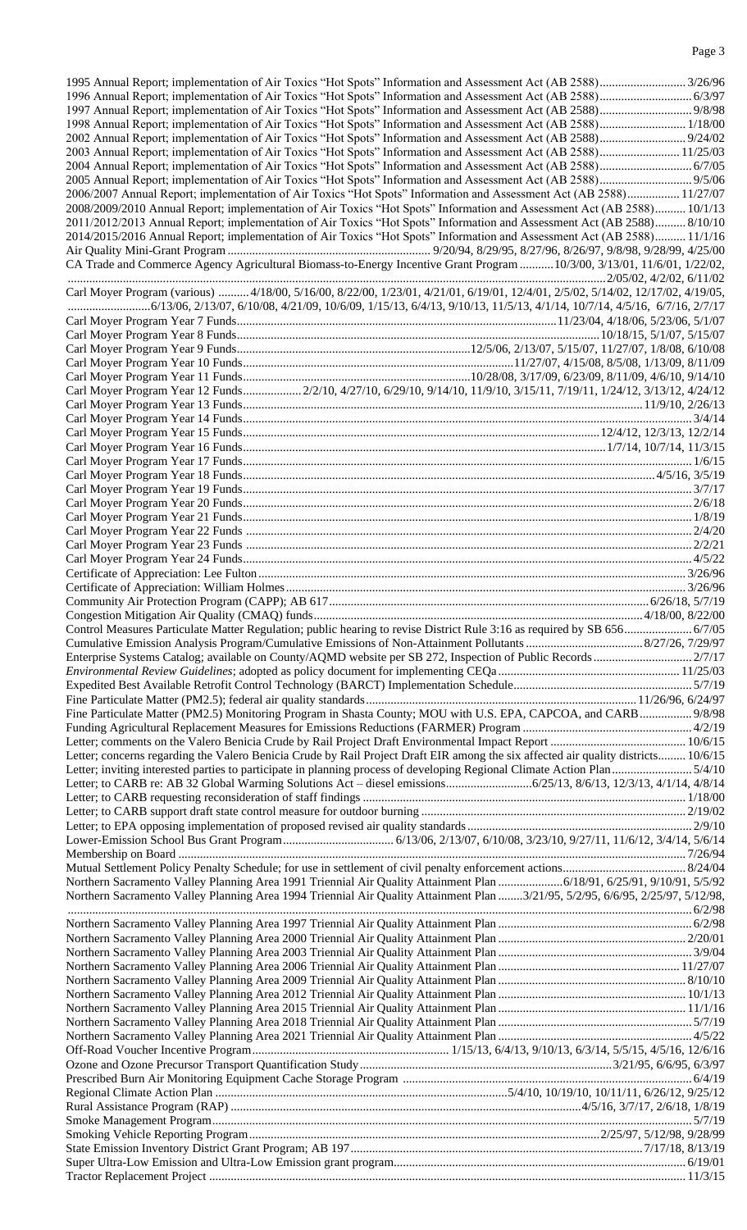| 1998 Annual Report; implementation of Air Toxics "Hot Spots" Information and Assessment Act (AB 2588) 1/18/00                      |  |
|------------------------------------------------------------------------------------------------------------------------------------|--|
|                                                                                                                                    |  |
|                                                                                                                                    |  |
| 2003 Annual Report; implementation of Air Toxics "Hot Spots" Information and Assessment Act (AB 2588) 11/25/03                     |  |
| 2004 Annual Report; implementation of Air Toxics "Hot Spots" Information and Assessment Act (AB 2588) 6/7/05                       |  |
|                                                                                                                                    |  |
| 2006/2007 Annual Report; implementation of Air Toxics "Hot Spots" Information and Assessment Act (AB 2588) 11/27/07                |  |
| 2008/2009/2010 Annual Report; implementation of Air Toxics "Hot Spots" Information and Assessment Act (AB 2588) 10/1/13            |  |
| 2011/2012/2013 Annual Report; implementation of Air Toxics "Hot Spots" Information and Assessment Act (AB 2588) 8/10/10            |  |
| 2014/2015/2016 Annual Report; implementation of Air Toxics "Hot Spots" Information and Assessment Act (AB 2588) 11/1/16            |  |
|                                                                                                                                    |  |
| CA Trade and Commerce Agency Agricultural Biomass-to-Energy Incentive Grant Program  10/3/00, 3/13/01, 11/6/01, 1/22/02,           |  |
|                                                                                                                                    |  |
| Carl Moyer Program (various)  4/18/00, 5/16/00, 8/22/00, 1/23/01, 4/21/01, 6/19/01, 12/4/01, 2/5/02, 5/14/02, 12/17/02, 4/19/05,   |  |
|                                                                                                                                    |  |
|                                                                                                                                    |  |
|                                                                                                                                    |  |
|                                                                                                                                    |  |
|                                                                                                                                    |  |
|                                                                                                                                    |  |
|                                                                                                                                    |  |
| Carl Moyer Program Year 12 Funds 2/2/10, 4/27/10, 6/29/10, 9/14/10, 11/9/10, 3/15/11, 7/19/11, 1/24/12, 3/13/12, 4/24/12           |  |
|                                                                                                                                    |  |
|                                                                                                                                    |  |
|                                                                                                                                    |  |
|                                                                                                                                    |  |
|                                                                                                                                    |  |
|                                                                                                                                    |  |
|                                                                                                                                    |  |
|                                                                                                                                    |  |
|                                                                                                                                    |  |
|                                                                                                                                    |  |
|                                                                                                                                    |  |
|                                                                                                                                    |  |
|                                                                                                                                    |  |
|                                                                                                                                    |  |
|                                                                                                                                    |  |
|                                                                                                                                    |  |
|                                                                                                                                    |  |
| Control Measures Particulate Matter Regulation; public hearing to revise District Rule 3:16 as required by SB 656 6/7/05           |  |
|                                                                                                                                    |  |
|                                                                                                                                    |  |
|                                                                                                                                    |  |
|                                                                                                                                    |  |
|                                                                                                                                    |  |
|                                                                                                                                    |  |
|                                                                                                                                    |  |
| Fine Particulate Matter (PM2.5) Monitoring Program in Shasta County; MOU with U.S. EPA, CAPCOA, and CARB 9/8/98                    |  |
|                                                                                                                                    |  |
|                                                                                                                                    |  |
| Letter; concerns regarding the Valero Benicia Crude by Rail Project Draft EIR among the six affected air quality districts 10/6/15 |  |
| Letter; inviting interested parties to participate in planning process of developing Regional Climate Action Plan5/4/10            |  |
|                                                                                                                                    |  |
|                                                                                                                                    |  |
|                                                                                                                                    |  |
|                                                                                                                                    |  |
|                                                                                                                                    |  |
|                                                                                                                                    |  |
|                                                                                                                                    |  |
|                                                                                                                                    |  |
|                                                                                                                                    |  |
| Northern Sacramento Valley Planning Area 1994 Triennial Air Quality Attainment Plan 3/21/95, 5/2/95, 6/6/95, 2/25/97, 5/12/98,     |  |
|                                                                                                                                    |  |
|                                                                                                                                    |  |
|                                                                                                                                    |  |
|                                                                                                                                    |  |
|                                                                                                                                    |  |
|                                                                                                                                    |  |
|                                                                                                                                    |  |
|                                                                                                                                    |  |
|                                                                                                                                    |  |
|                                                                                                                                    |  |
|                                                                                                                                    |  |
|                                                                                                                                    |  |
|                                                                                                                                    |  |
|                                                                                                                                    |  |
|                                                                                                                                    |  |
|                                                                                                                                    |  |
|                                                                                                                                    |  |
|                                                                                                                                    |  |
|                                                                                                                                    |  |
|                                                                                                                                    |  |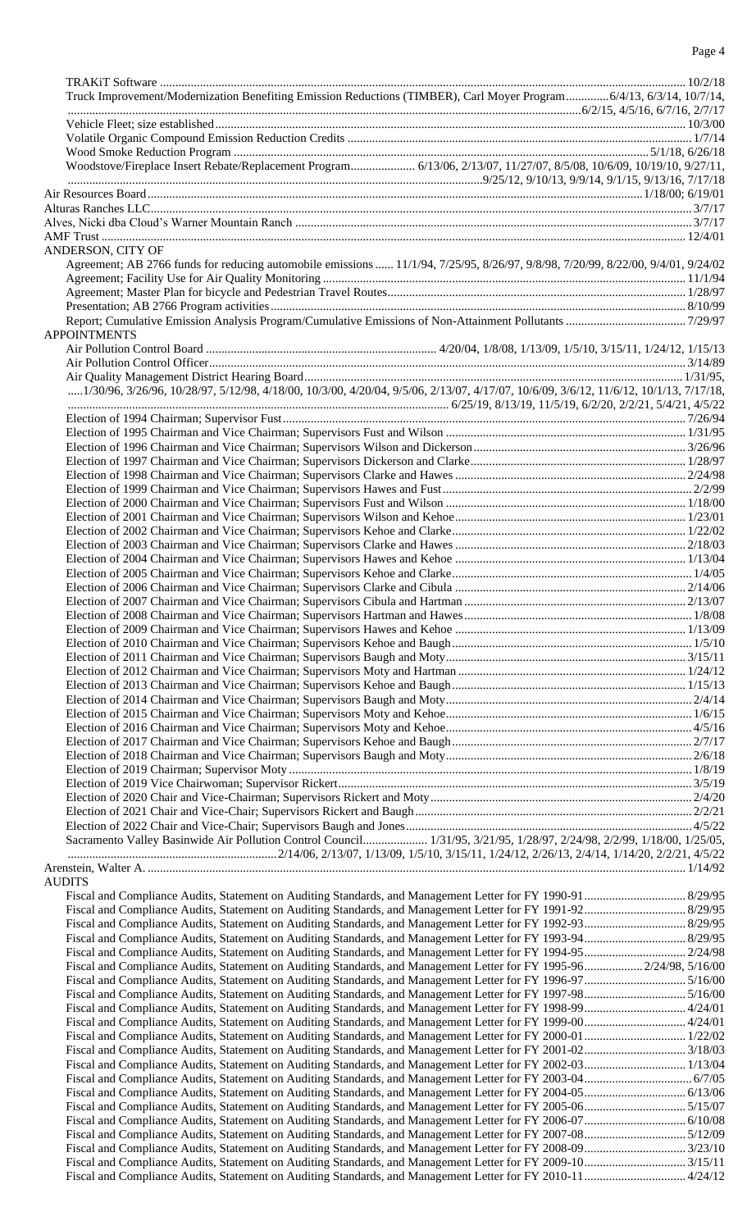## Page 4

| Truck Improvement/Modernization Benefiting Emission Reductions (TIMBER), Carl Moyer Program 6/4/13, 6/3/14, 10/7/14,                           |  |
|------------------------------------------------------------------------------------------------------------------------------------------------|--|
|                                                                                                                                                |  |
|                                                                                                                                                |  |
|                                                                                                                                                |  |
| Woodstove/Fireplace Insert Rebate/Replacement Program 6/13/06, 2/13/07, 11/27/07, 8/5/08, 10/6/09, 10/19/10, 9/27/11,                          |  |
|                                                                                                                                                |  |
|                                                                                                                                                |  |
|                                                                                                                                                |  |
|                                                                                                                                                |  |
|                                                                                                                                                |  |
| ANDERSON, CITY OF                                                                                                                              |  |
| Agreement; AB 2766 funds for reducing automobile emissions  11/1/94, 7/25/95, 8/26/97, 9/8/98, 7/20/99, 8/22/00, 9/4/01, 9/24/02               |  |
|                                                                                                                                                |  |
|                                                                                                                                                |  |
|                                                                                                                                                |  |
| <b>APPOINTMENTS</b>                                                                                                                            |  |
|                                                                                                                                                |  |
|                                                                                                                                                |  |
|                                                                                                                                                |  |
| $\ldots$ 1/30/96, 3/26/96, 10/28/97, 5/12/98, 4/18/00, 10/3/00, 4/20/04, 9/5/06, 2/13/07, 4/17/07, 10/6/09, 3/6/12, 11/6/12, 10/1/13, 7/17/18, |  |
|                                                                                                                                                |  |
|                                                                                                                                                |  |
|                                                                                                                                                |  |
|                                                                                                                                                |  |
|                                                                                                                                                |  |
|                                                                                                                                                |  |
|                                                                                                                                                |  |
|                                                                                                                                                |  |
|                                                                                                                                                |  |
|                                                                                                                                                |  |
|                                                                                                                                                |  |
|                                                                                                                                                |  |
|                                                                                                                                                |  |
|                                                                                                                                                |  |
|                                                                                                                                                |  |
|                                                                                                                                                |  |
|                                                                                                                                                |  |
|                                                                                                                                                |  |
|                                                                                                                                                |  |
|                                                                                                                                                |  |
|                                                                                                                                                |  |
|                                                                                                                                                |  |
|                                                                                                                                                |  |
|                                                                                                                                                |  |
|                                                                                                                                                |  |
|                                                                                                                                                |  |
|                                                                                                                                                |  |
|                                                                                                                                                |  |
|                                                                                                                                                |  |
| Sacramento Valley Basinwide Air Pollution Control Council 1/31/95, 3/21/95, 1/28/97, 2/24/98, 2/2/99, 1/18/00, 1/25/05,                        |  |
|                                                                                                                                                |  |
|                                                                                                                                                |  |
| <b>AUDITS</b>                                                                                                                                  |  |
|                                                                                                                                                |  |
|                                                                                                                                                |  |
|                                                                                                                                                |  |
|                                                                                                                                                |  |
|                                                                                                                                                |  |
| Fiscal and Compliance Audits, Statement on Auditing Standards, and Management Letter for FY 1995-96 2/24/98, 5/16/00                           |  |
|                                                                                                                                                |  |
|                                                                                                                                                |  |
|                                                                                                                                                |  |
|                                                                                                                                                |  |
|                                                                                                                                                |  |
|                                                                                                                                                |  |
|                                                                                                                                                |  |
|                                                                                                                                                |  |
|                                                                                                                                                |  |
|                                                                                                                                                |  |
|                                                                                                                                                |  |
|                                                                                                                                                |  |
|                                                                                                                                                |  |
| Fiscal and Compliance Audits, Statement on Auditing Standards, and Management Letter for FY 2010-11 4/24/12                                    |  |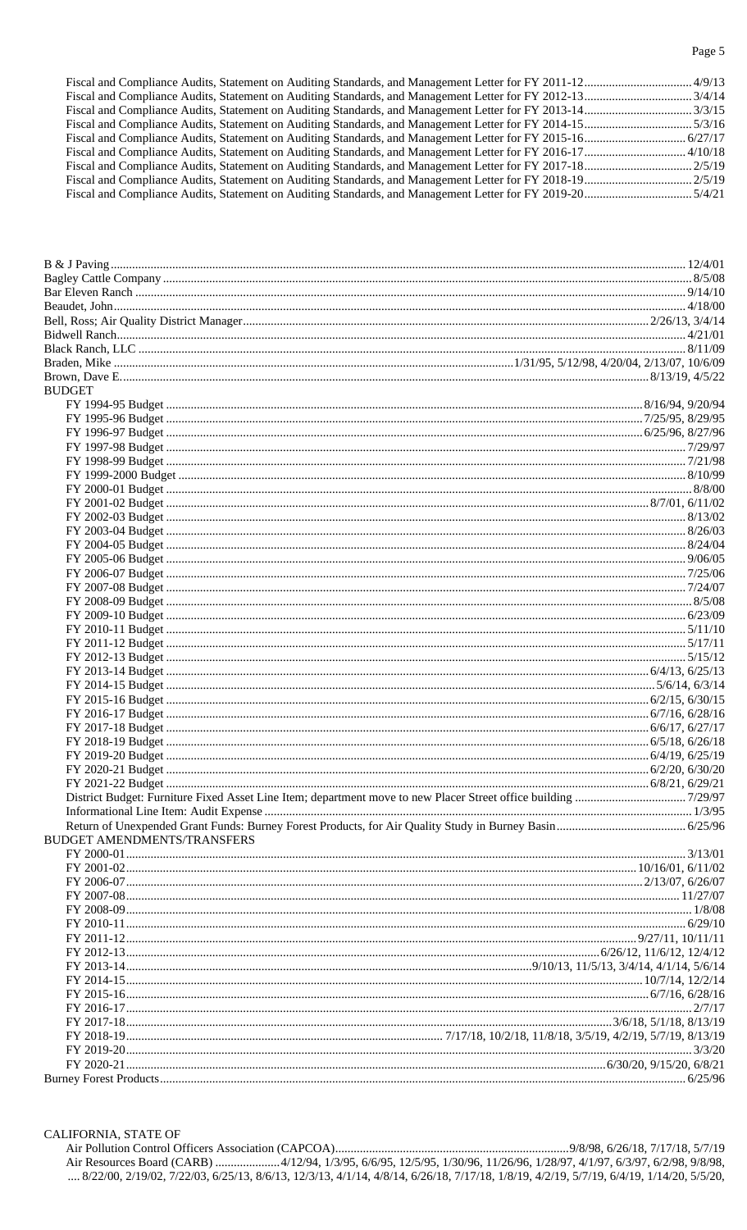| <b>BUDGET</b>                      |  |
|------------------------------------|--|
|                                    |  |
|                                    |  |
|                                    |  |
|                                    |  |
|                                    |  |
|                                    |  |
|                                    |  |
|                                    |  |
|                                    |  |
|                                    |  |
|                                    |  |
|                                    |  |
|                                    |  |
|                                    |  |
|                                    |  |
|                                    |  |
|                                    |  |
|                                    |  |
|                                    |  |
|                                    |  |
|                                    |  |
|                                    |  |
|                                    |  |
|                                    |  |
|                                    |  |
|                                    |  |
|                                    |  |
|                                    |  |
|                                    |  |
|                                    |  |
|                                    |  |
|                                    |  |
| <b>BUDGET AMENDMENTS/TRANSFERS</b> |  |
|                                    |  |
|                                    |  |
|                                    |  |
|                                    |  |
|                                    |  |
|                                    |  |
|                                    |  |
|                                    |  |
|                                    |  |
|                                    |  |
|                                    |  |
|                                    |  |
|                                    |  |
|                                    |  |
|                                    |  |
|                                    |  |
|                                    |  |
|                                    |  |

CALIFORNIA, STATE OF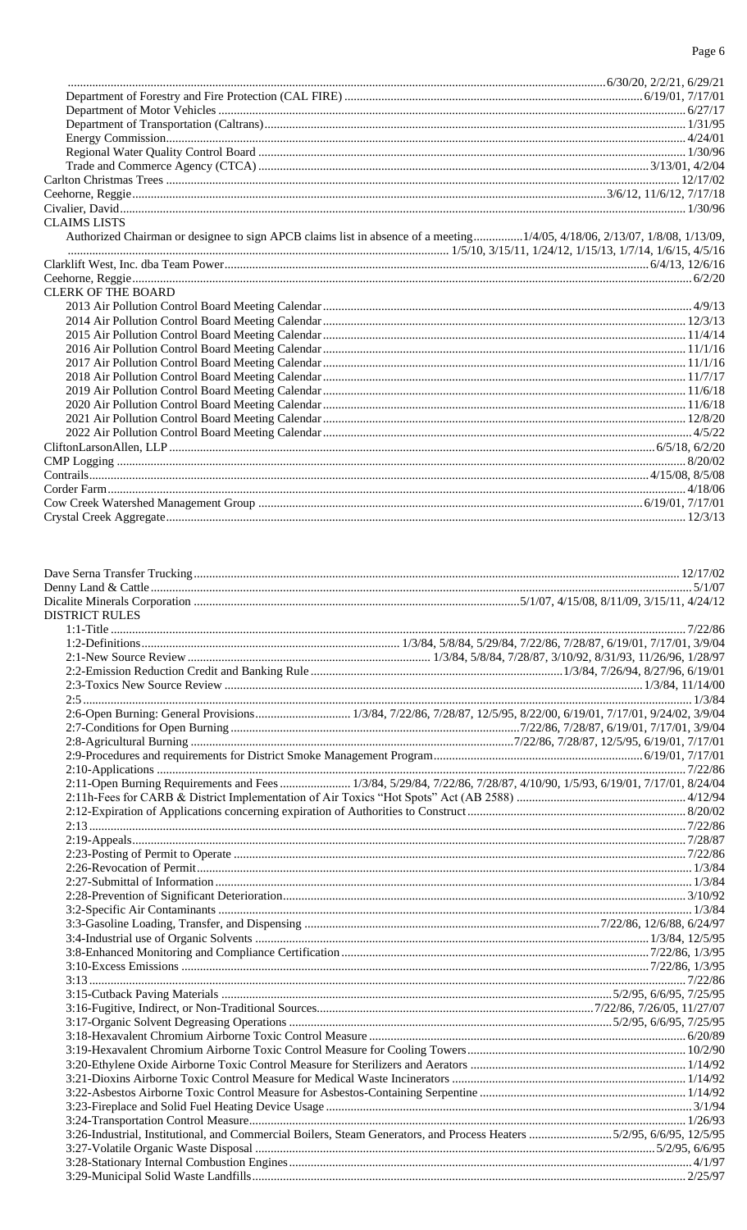### Page 6

| <b>CLAIMS LISTS</b>                                                                                                        |  |
|----------------------------------------------------------------------------------------------------------------------------|--|
| Authorized Chairman or designee to sign APCB claims list in absence of a meeting1/4/05, 4/18/06, 2/13/07, 1/8/08, 1/13/09, |  |
|                                                                                                                            |  |
|                                                                                                                            |  |
|                                                                                                                            |  |
| <b>CLERK OF THE BOARD</b>                                                                                                  |  |
|                                                                                                                            |  |
|                                                                                                                            |  |
|                                                                                                                            |  |
|                                                                                                                            |  |
|                                                                                                                            |  |
|                                                                                                                            |  |
|                                                                                                                            |  |
|                                                                                                                            |  |
|                                                                                                                            |  |
|                                                                                                                            |  |
|                                                                                                                            |  |
|                                                                                                                            |  |
|                                                                                                                            |  |
|                                                                                                                            |  |
|                                                                                                                            |  |
|                                                                                                                            |  |
|                                                                                                                            |  |
|                                                                                                                            |  |
|                                                                                                                            |  |
| <b>DISTRICT RULES</b>                                                                                                      |  |

| <b>ISTRICT RULES</b>                                                                                                   |  |
|------------------------------------------------------------------------------------------------------------------------|--|
|                                                                                                                        |  |
|                                                                                                                        |  |
|                                                                                                                        |  |
|                                                                                                                        |  |
|                                                                                                                        |  |
|                                                                                                                        |  |
|                                                                                                                        |  |
|                                                                                                                        |  |
|                                                                                                                        |  |
|                                                                                                                        |  |
|                                                                                                                        |  |
| 2:11-Open Burning Requirements and Fees  1/3/84, 5/29/84, 7/22/86, 7/28/87, 4/10/90, 1/5/93, 6/19/01, 7/17/01, 8/24/04 |  |
|                                                                                                                        |  |
|                                                                                                                        |  |
|                                                                                                                        |  |
|                                                                                                                        |  |
|                                                                                                                        |  |
|                                                                                                                        |  |
|                                                                                                                        |  |
|                                                                                                                        |  |
|                                                                                                                        |  |
|                                                                                                                        |  |
|                                                                                                                        |  |
|                                                                                                                        |  |
|                                                                                                                        |  |
|                                                                                                                        |  |
|                                                                                                                        |  |
|                                                                                                                        |  |
|                                                                                                                        |  |
|                                                                                                                        |  |
|                                                                                                                        |  |
|                                                                                                                        |  |
|                                                                                                                        |  |
|                                                                                                                        |  |
|                                                                                                                        |  |
|                                                                                                                        |  |
| 3:26-Industrial, Institutional, and Commercial Boilers, Steam Generators, and Process Heaters 5/2/95, 6/6/95, 12/5/95  |  |
|                                                                                                                        |  |
|                                                                                                                        |  |
|                                                                                                                        |  |
|                                                                                                                        |  |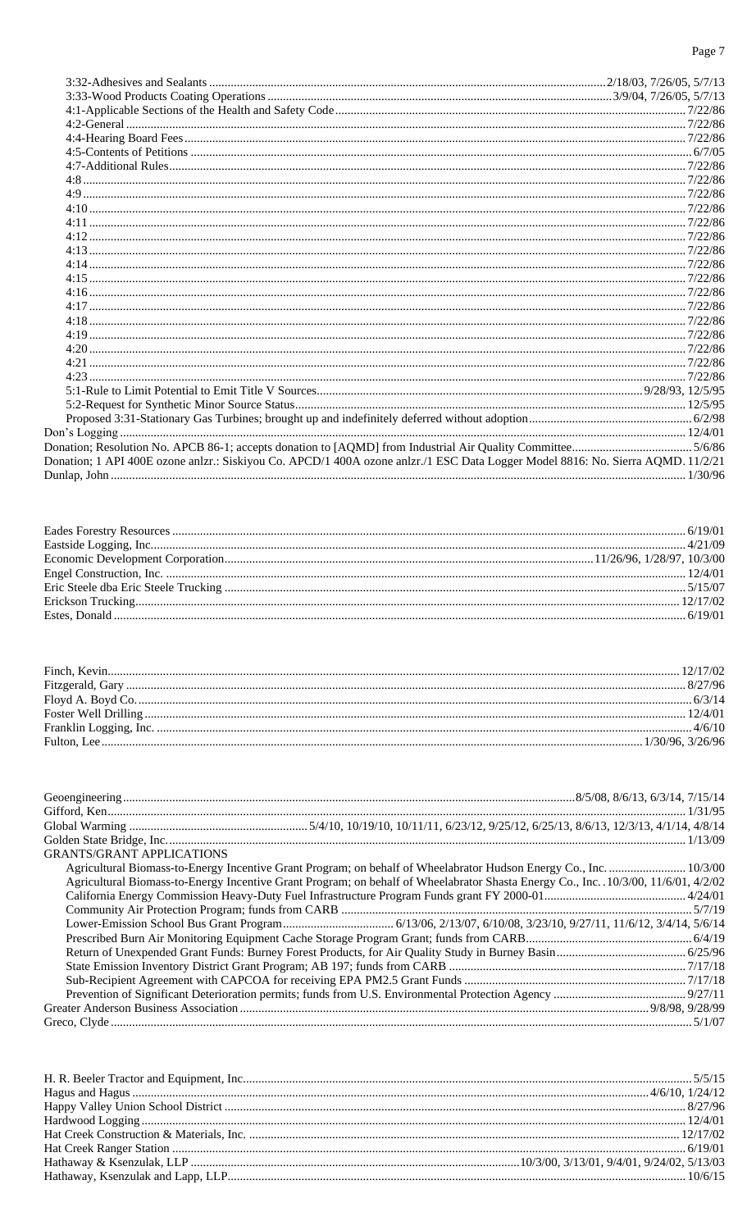| Donation; 1 API 400E ozone anlzr.: Siskiyou Co. APCD/1 400A ozone anlzr./1 ESC Data Logger Model 8816: No. Sierra AQMD. 11/2/21 |  |
|---------------------------------------------------------------------------------------------------------------------------------|--|
|                                                                                                                                 |  |
|                                                                                                                                 |  |

| <b>GRANTS/GRANT APPLICATIONS</b>                                                                                                     |  |
|--------------------------------------------------------------------------------------------------------------------------------------|--|
| Agricultural Biomass-to-Energy Incentive Grant Program; on behalf of Wheelabrator Hudson Energy Co., Inc.  10/3/00                   |  |
| Agricultural Biomass-to-Energy Incentive Grant Program; on behalf of Wheelabrator Shasta Energy Co., Inc. . 10/3/00, 11/6/01, 4/2/02 |  |
|                                                                                                                                      |  |
|                                                                                                                                      |  |
|                                                                                                                                      |  |
|                                                                                                                                      |  |
|                                                                                                                                      |  |
|                                                                                                                                      |  |
|                                                                                                                                      |  |
|                                                                                                                                      |  |
|                                                                                                                                      |  |
|                                                                                                                                      |  |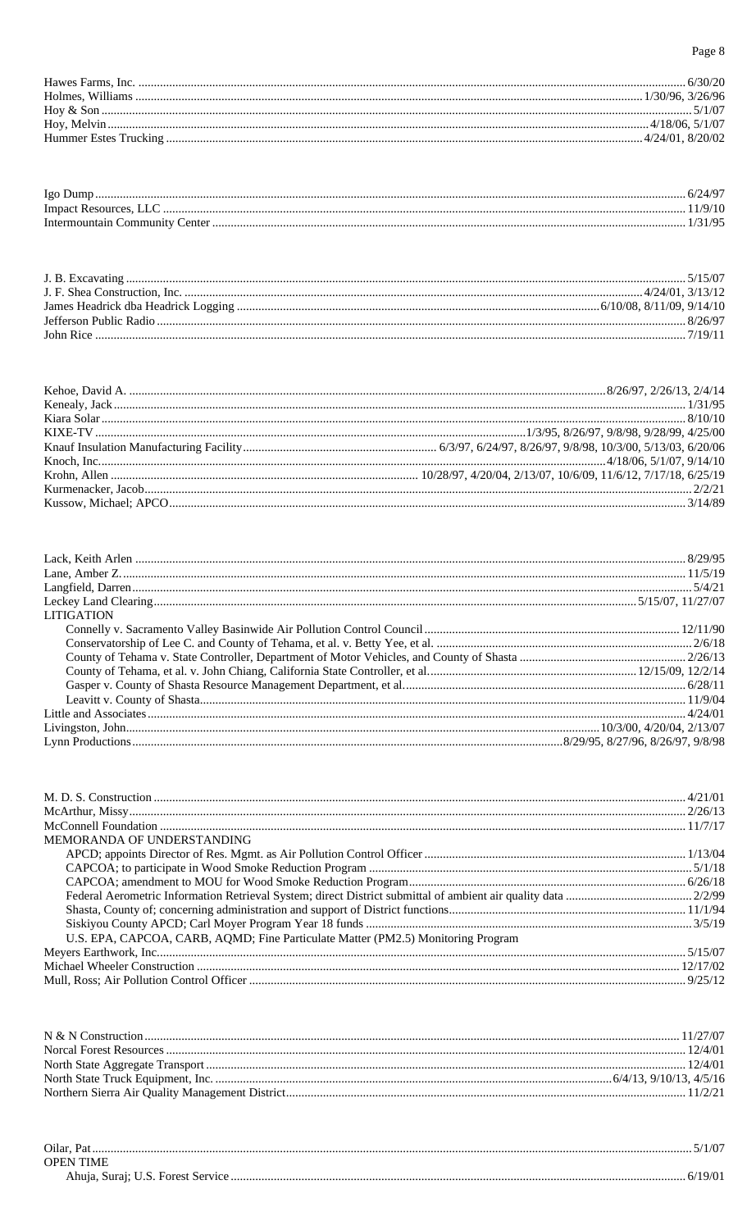| lgo                        | $\mathbf{u}$<br>$2 + 1$ |
|----------------------------|-------------------------|
| Impact                     |                         |
| ∴`∩mmunit<br>ente<br>Inter |                         |

| <b>LITIGATION</b> |  |
|-------------------|--|
|                   |  |
|                   |  |
|                   |  |
|                   |  |
|                   |  |
|                   |  |
|                   |  |
|                   |  |
|                   |  |

| MEMORANDA OF UNDERSTANDING                                                       |  |
|----------------------------------------------------------------------------------|--|
|                                                                                  |  |
|                                                                                  |  |
|                                                                                  |  |
|                                                                                  |  |
|                                                                                  |  |
|                                                                                  |  |
| U.S. EPA, CAPCOA, CARB, AQMD; Fine Particulate Matter (PM2.5) Monitoring Program |  |
|                                                                                  |  |
|                                                                                  |  |
|                                                                                  |  |

| hlar | $\cdot$ |
|------|---------|
| ושנ  |         |
|      |         |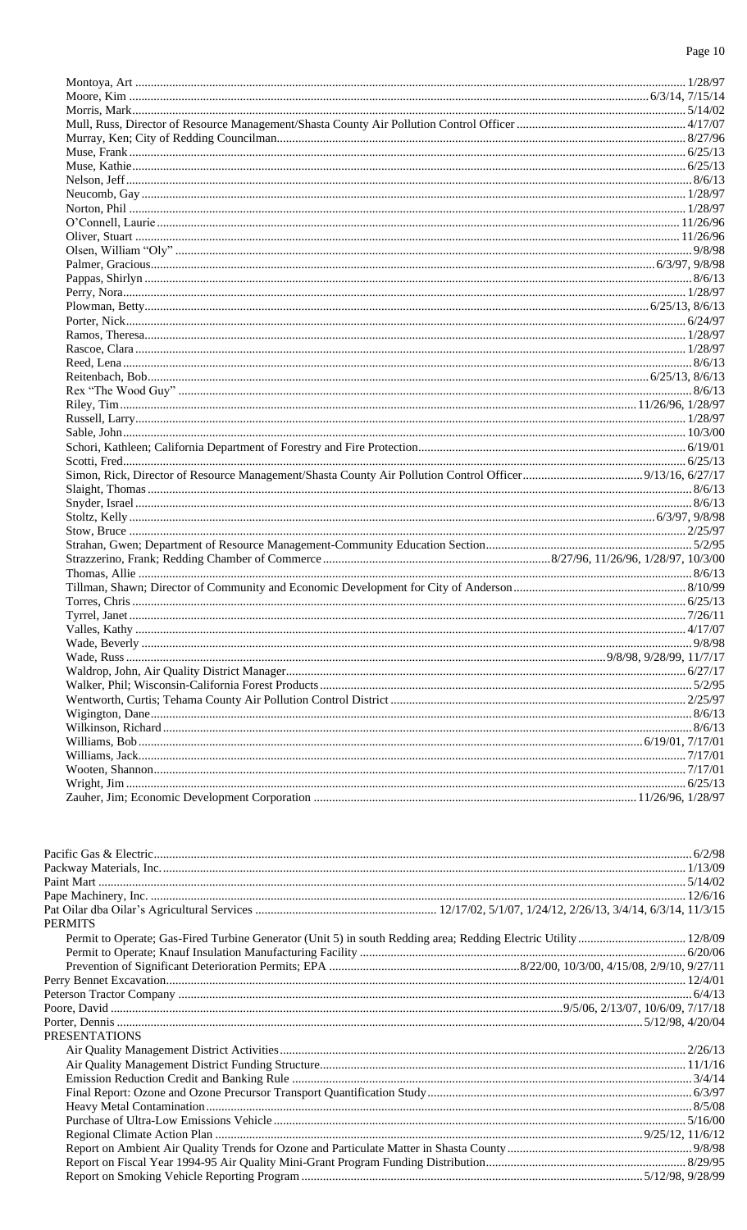| Pacific Gas & Electric (2/98) Pacific Gas & Electric (2/98) Packway Materials, Inc. (2/98) |  |
|--------------------------------------------------------------------------------------------|--|
|                                                                                            |  |
|                                                                                            |  |
|                                                                                            |  |
| <b>PERMITS</b>                                                                             |  |
|                                                                                            |  |
|                                                                                            |  |
|                                                                                            |  |
|                                                                                            |  |
|                                                                                            |  |
|                                                                                            |  |
|                                                                                            |  |
| <b>PRESENTATIONS</b>                                                                       |  |
|                                                                                            |  |
|                                                                                            |  |
|                                                                                            |  |
|                                                                                            |  |
|                                                                                            |  |
|                                                                                            |  |
|                                                                                            |  |
|                                                                                            |  |
|                                                                                            |  |
|                                                                                            |  |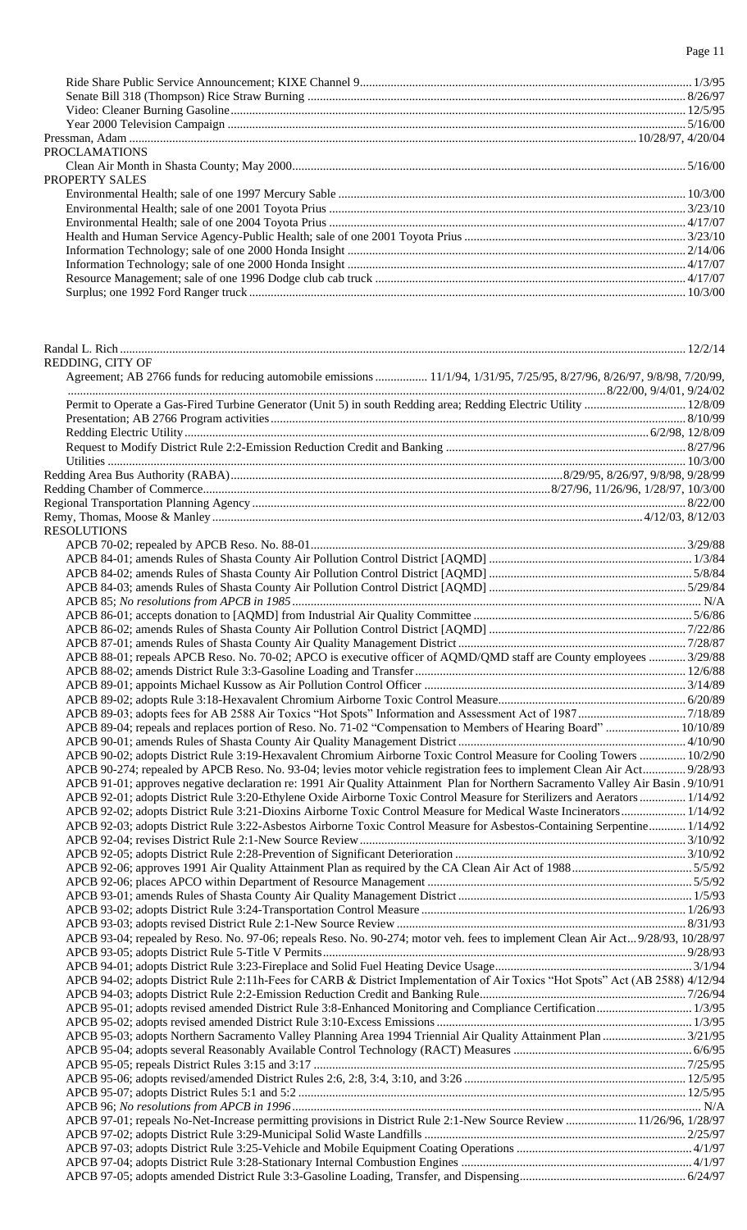Ride Share Public Service Announcement; KIXE Channel 9............................................................................................................ 1/3/95 Senate Bill 318 (Thompson) Rice Straw Burning ........................................................................................................................... 8/26/97 Video: Cleaner Burning Gasoline.................................................................................................................................................... 12/5/95 Year 2000 Television Campaign ..................................................................................................................................................... 5/16/00 Pressman, Adam .....................................................................................................................................................................10/28/97, 4/20/04 PROCLAMATIONS Clean Air Month in Shasta County; May 2000................................................................................................................................ 5/16/00 PROPERTY SALES Environmental Health; sale of one 1997 Mercury Sable ................................................................................................................. 10/3/00 Environmental Health; sale of one 2001 Toyota Prius .................................................................................................................... 3/23/10 Environmental Health; sale of one 2004 Toyota Prius .................................................................................................................... 4/17/07 Health and Human Service Agency-Public Health; sale of one 2001 Toyota Prius........................................................................ 3/23/10 Information Technology; sale of one 2000 Honda Insight .............................................................................................................. 2/14/06 Information Technology; sale of one 2000 Honda Insight .............................................................................................................. 4/17/07 Resource Management; sale of one 1996 Dodge club cab truck ..................................................................................................... 4/17/07 Surplus; one 1992 Ford Ranger truck .............................................................................................................................................. 10/3/00

| REDDING, CITY OF                                                                                                                  |  |
|-----------------------------------------------------------------------------------------------------------------------------------|--|
| Agreement; AB 2766 funds for reducing automobile emissions  11/1/94, 1/31/95, 7/25/95, 8/27/96, 8/26/97, 9/8/98, 7/20/99,         |  |
|                                                                                                                                   |  |
| Permit to Operate a Gas-Fired Turbine Generator (Unit 5) in south Redding area; Redding Electric Utility  12/8/09                 |  |
|                                                                                                                                   |  |
|                                                                                                                                   |  |
|                                                                                                                                   |  |
|                                                                                                                                   |  |
|                                                                                                                                   |  |
|                                                                                                                                   |  |
|                                                                                                                                   |  |
|                                                                                                                                   |  |
| <b>RESOLUTIONS</b>                                                                                                                |  |
|                                                                                                                                   |  |
|                                                                                                                                   |  |
|                                                                                                                                   |  |
|                                                                                                                                   |  |
|                                                                                                                                   |  |
|                                                                                                                                   |  |
|                                                                                                                                   |  |
|                                                                                                                                   |  |
| APCB 88-01; repeals APCB Reso. No. 70-02; APCO is executive officer of AQMD/QMD staff are County employees  3/29/88               |  |
|                                                                                                                                   |  |
|                                                                                                                                   |  |
|                                                                                                                                   |  |
|                                                                                                                                   |  |
| APCB 89-04; repeals and replaces portion of Reso. No. 71-02 "Compensation to Members of Hearing Board"  10/10/89                  |  |
|                                                                                                                                   |  |
| APCB 90-02; adopts District Rule 3:19-Hexavalent Chromium Airborne Toxic Control Measure for Cooling Towers  10/2/90              |  |
| APCB 90-274; repealed by APCB Reso. No. 93-04; levies motor vehicle registration fees to implement Clean Air Act 9/28/93          |  |
| APCB 91-01; approves negative declaration re: 1991 Air Quality Attainment Plan for Northern Sacramento Valley Air Basin . 9/10/91 |  |
| APCB 92-01; adopts District Rule 3:20-Ethylene Oxide Airborne Toxic Control Measure for Sterilizers and Aerators  1/14/92         |  |
| APCB 92-02; adopts District Rule 3:21-Dioxins Airborne Toxic Control Measure for Medical Waste Incinerators 1/14/92               |  |
| APCB 92-03; adopts District Rule 3:22-Asbestos Airborne Toxic Control Measure for Asbestos-Containing Serpentine 1/14/92          |  |
|                                                                                                                                   |  |
|                                                                                                                                   |  |
|                                                                                                                                   |  |
|                                                                                                                                   |  |
|                                                                                                                                   |  |
|                                                                                                                                   |  |
| APCB 93-04; repealed by Reso. No. 97-06; repeals Reso. No. 90-274; motor veh. fees to implement Clean Air Act 9/28/93, 10/28/97   |  |
|                                                                                                                                   |  |
|                                                                                                                                   |  |
| APCB 94-02; adopts District Rule 2:11h-Fees for CARB & District Implementation of Air Toxics "Hot Spots" Act (AB 2588) 4/12/94    |  |
|                                                                                                                                   |  |
| APCB 95-01; adopts revised amended District Rule 3:8-Enhanced Monitoring and Compliance Certification 1/3/95                      |  |
|                                                                                                                                   |  |
|                                                                                                                                   |  |
|                                                                                                                                   |  |
|                                                                                                                                   |  |
|                                                                                                                                   |  |
|                                                                                                                                   |  |
|                                                                                                                                   |  |
| APCB 97-01; repeals No-Net-Increase permitting provisions in District Rule 2:1-New Source Review  11/26/96, 1/28/97               |  |
|                                                                                                                                   |  |
|                                                                                                                                   |  |
|                                                                                                                                   |  |
|                                                                                                                                   |  |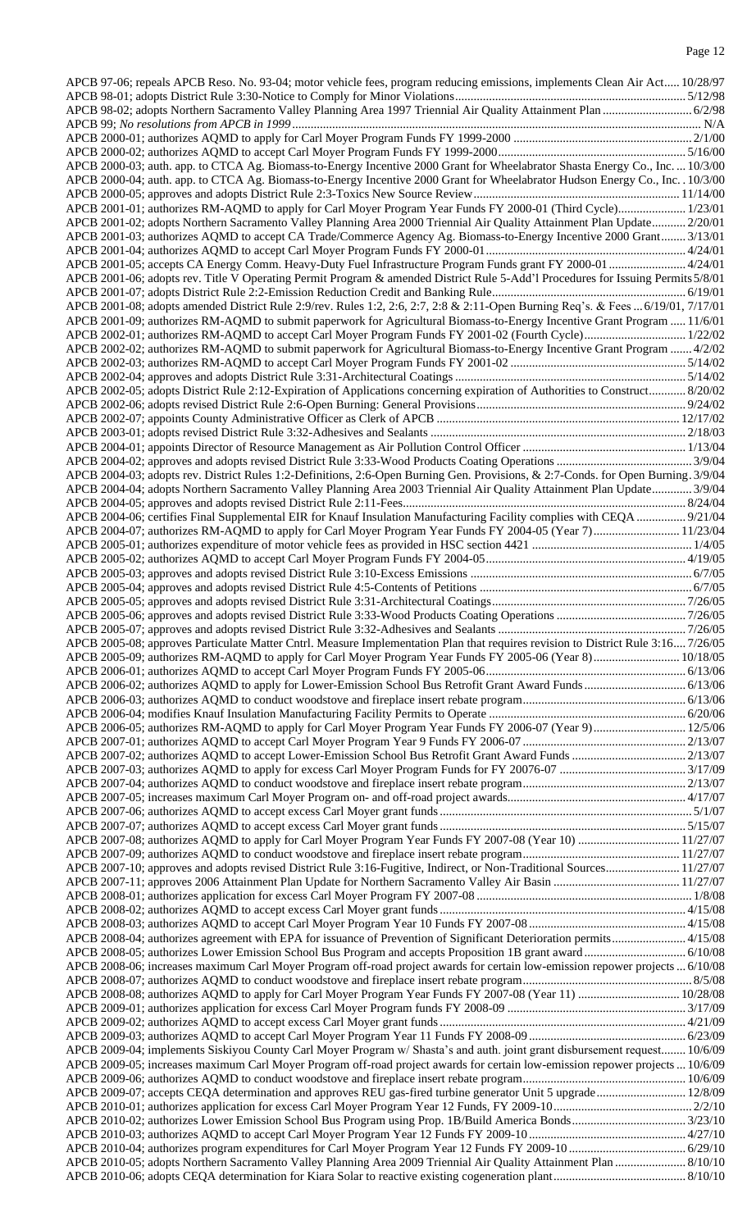| APCB 97-06; repeals APCB Reso. No. 93-04; motor vehicle fees, program reducing emissions, implements Clean Air Act 10/28/97       |  |
|-----------------------------------------------------------------------------------------------------------------------------------|--|
|                                                                                                                                   |  |
| APCB 98-02; adopts Northern Sacramento Valley Planning Area 1997 Triennial Air Quality Attainment Plan  6/2/98                    |  |
|                                                                                                                                   |  |
|                                                                                                                                   |  |
|                                                                                                                                   |  |
| APCB 2000-03; auth. app. to CTCA Ag. Biomass-to-Energy Incentive 2000 Grant for Wheelabrator Shasta Energy Co., Inc.  10/3/00     |  |
| APCB 2000-04; auth. app. to CTCA Ag. Biomass-to-Energy Incentive 2000 Grant for Wheelabrator Hudson Energy Co., Inc. . 10/3/00    |  |
|                                                                                                                                   |  |
| APCB 2001-01; authorizes RM-AQMD to apply for Carl Moyer Program Year Funds FY 2000-01 (Third Cycle) 1/23/01                      |  |
| APCB 2001-02; adopts Northern Sacramento Valley Planning Area 2000 Triennial Air Quality Attainment Plan Update 2/20/01           |  |
| APCB 2001-03; authorizes AQMD to accept CA Trade/Commerce Agency Ag. Biomass-to-Energy Incentive 2000 Grant 3/13/01               |  |
|                                                                                                                                   |  |
| APCB 2001-05; accepts CA Energy Comm. Heavy-Duty Fuel Infrastructure Program Funds grant FY 2000-01  4/24/01                      |  |
| APCB 2001-06; adopts rev. Title V Operating Permit Program & amended District Rule 5-Add'l Procedures for Issuing Permits 5/8/01  |  |
|                                                                                                                                   |  |
| APCB 2001-08; adopts amended District Rule 2:9/rev. Rules 1:2, 2:6, 2:7, 2:8 & 2:11-Open Burning Req's. & Fees  6/19/01, 7/17/01  |  |
| APCB 2001-09; authorizes RM-AQMD to submit paperwork for Agricultural Biomass-to-Energy Incentive Grant Program  11/6/01          |  |
|                                                                                                                                   |  |
| APCB 2002-02; authorizes RM-AQMD to submit paperwork for Agricultural Biomass-to-Energy Incentive Grant Program  4/2/02           |  |
|                                                                                                                                   |  |
|                                                                                                                                   |  |
| APCB 2002-05; adopts District Rule 2:12-Expiration of Applications concerning expiration of Authorities to Construct 8/20/02      |  |
|                                                                                                                                   |  |
|                                                                                                                                   |  |
|                                                                                                                                   |  |
|                                                                                                                                   |  |
|                                                                                                                                   |  |
| APCB 2004-03; adopts rev. District Rules 1:2-Definitions, 2:6-Open Burning Gen. Provisions, & 2:7-Conds. for Open Burning. 3/9/04 |  |
| APCB 2004-04; adopts Northern Sacramento Valley Planning Area 2003 Triennial Air Quality Attainment Plan Update 3/9/04            |  |
|                                                                                                                                   |  |
| APCB 2004-06; certifies Final Supplemental EIR for Knauf Insulation Manufacturing Facility complies with CEQA  9/21/04            |  |
| APCB 2004-07; authorizes RM-AQMD to apply for Carl Moyer Program Year Funds FY 2004-05 (Year 7) 11/23/04                          |  |
|                                                                                                                                   |  |
|                                                                                                                                   |  |
|                                                                                                                                   |  |
|                                                                                                                                   |  |
|                                                                                                                                   |  |
|                                                                                                                                   |  |
|                                                                                                                                   |  |
| APCB 2005-08; approves Particulate Matter Cntrl. Measure Implementation Plan that requires revision to District Rule 3:16 7/26/05 |  |
|                                                                                                                                   |  |
|                                                                                                                                   |  |
|                                                                                                                                   |  |
|                                                                                                                                   |  |
|                                                                                                                                   |  |
| APCB 2006-05; authorizes RM-AQMD to apply for Carl Moyer Program Year Funds FY 2006-07 (Year 9) 12/5/06                           |  |
|                                                                                                                                   |  |
|                                                                                                                                   |  |
|                                                                                                                                   |  |
|                                                                                                                                   |  |
|                                                                                                                                   |  |
|                                                                                                                                   |  |
|                                                                                                                                   |  |
|                                                                                                                                   |  |
|                                                                                                                                   |  |
| APCB 2007-10; approves and adopts revised District Rule 3:16-Fugitive, Indirect, or Non-Traditional Sources 11/27/07              |  |
|                                                                                                                                   |  |
|                                                                                                                                   |  |
|                                                                                                                                   |  |
|                                                                                                                                   |  |
| APCB 2008-04; authorizes agreement with EPA for issuance of Prevention of Significant Deterioration permits 4/15/08               |  |
|                                                                                                                                   |  |
| APCB 2008-06; increases maximum Carl Moyer Program off-road project awards for certain low-emission repower projects  6/10/08     |  |
|                                                                                                                                   |  |
|                                                                                                                                   |  |
|                                                                                                                                   |  |
|                                                                                                                                   |  |
|                                                                                                                                   |  |
|                                                                                                                                   |  |
| APCB 2009-04; implements Siskiyou County Carl Moyer Program w/ Shasta's and auth. joint grant disbursement request 10/6/09        |  |
| APCB 2009-05; increases maximum Carl Moyer Program off-road project awards for certain low-emission repower projects  10/6/09     |  |
|                                                                                                                                   |  |
| APCB 2009-07; accepts CEQA determination and approves REU gas-fired turbine generator Unit 5 upgrade 12/8/09                      |  |
|                                                                                                                                   |  |
|                                                                                                                                   |  |
|                                                                                                                                   |  |
|                                                                                                                                   |  |
|                                                                                                                                   |  |
|                                                                                                                                   |  |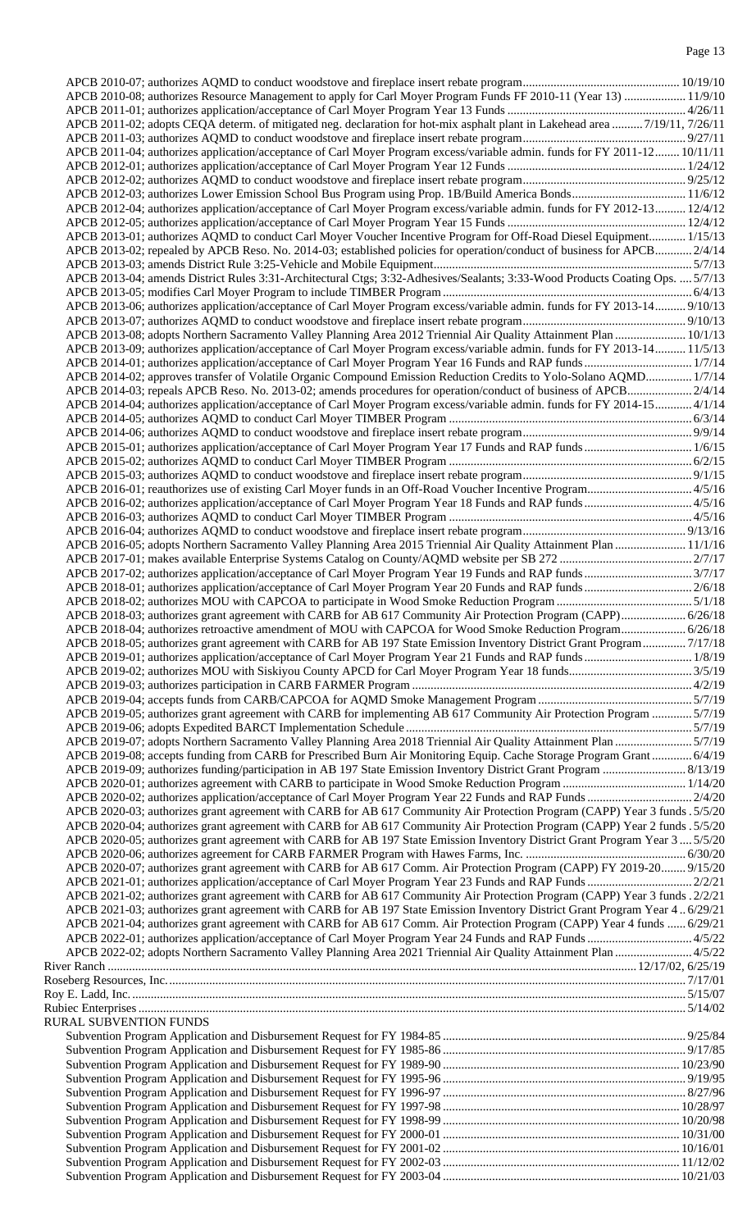| APCB 2010-08; authorizes Resource Management to apply for Carl Moyer Program Funds FF 2010-11 (Year 13)  11/9/10              |  |
|-------------------------------------------------------------------------------------------------------------------------------|--|
|                                                                                                                               |  |
| APCB 2011-02; adopts CEQA determ. of mitigated neg. declaration for hot-mix asphalt plant in Lakehead area  7/19/11, 7/26/11  |  |
|                                                                                                                               |  |
| APCB 2011-04; authorizes application/acceptance of Carl Moyer Program excess/variable admin. funds for FY 2011-12 10/11/11    |  |
|                                                                                                                               |  |
|                                                                                                                               |  |
|                                                                                                                               |  |
| APCB 2012-04; authorizes application/acceptance of Carl Moyer Program excess/variable admin. funds for FY 2012-13 12/4/12     |  |
|                                                                                                                               |  |
| APCB 2013-01; authorizes AQMD to conduct Carl Moyer Voucher Incentive Program for Off-Road Diesel Equipment 1/15/13           |  |
| APCB 2013-02; repealed by APCB Reso. No. 2014-03; established policies for operation/conduct of business for APCB 2/4/14      |  |
|                                                                                                                               |  |
| APCB 2013-04; amends District Rules 3:31-Architectural Ctgs; 3:32-Adhesives/Sealants; 3:33-Wood Products Coating Ops.  5/7/13 |  |
|                                                                                                                               |  |
| APCB 2013-06; authorizes application/acceptance of Carl Moyer Program excess/variable admin. funds for FY 2013-14 9/10/13     |  |
|                                                                                                                               |  |
|                                                                                                                               |  |
| APCB 2013-08; adopts Northern Sacramento Valley Planning Area 2012 Triennial Air Quality Attainment Plan  10/1/13             |  |
| APCB 2013-09; authorizes application/acceptance of Carl Moyer Program excess/variable admin. funds for FY 2013-14 11/5/13     |  |
|                                                                                                                               |  |
| APCB 2014-02; approves transfer of Volatile Organic Compound Emission Reduction Credits to Yolo-Solano AQMD 1/7/14            |  |
|                                                                                                                               |  |
| APCB 2014-04; authorizes application/acceptance of Carl Moyer Program excess/variable admin. funds for FY 2014-15 4/1/14      |  |
|                                                                                                                               |  |
|                                                                                                                               |  |
|                                                                                                                               |  |
|                                                                                                                               |  |
|                                                                                                                               |  |
| APCB 2016-01; reauthorizes use of existing Carl Moyer funds in an Off-Road Voucher Incentive Program 4/5/16                   |  |
|                                                                                                                               |  |
|                                                                                                                               |  |
|                                                                                                                               |  |
| APCB 2016-05; adopts Northern Sacramento Valley Planning Area 2015 Triennial Air Quality Attainment Plan  11/1/16             |  |
|                                                                                                                               |  |
|                                                                                                                               |  |
|                                                                                                                               |  |
|                                                                                                                               |  |
| APCB 2018-03; authorizes grant agreement with CARB for AB 617 Community Air Protection Program (CAPP) 6/26/18                 |  |
| APCB 2018-04; authorizes retroactive amendment of MOU with CAPCOA for Wood Smoke Reduction Program 6/26/18                    |  |
| APCB 2018-05; authorizes grant agreement with CARB for AB 197 State Emission Inventory District Grant Program 7/17/18         |  |
|                                                                                                                               |  |
|                                                                                                                               |  |
|                                                                                                                               |  |
|                                                                                                                               |  |
|                                                                                                                               |  |
| APCB 2019-05; authorizes grant agreement with CARB for implementing AB 617 Community Air Protection Program  5/7/19           |  |
|                                                                                                                               |  |
| APCB 2019-07; adopts Northern Sacramento Valley Planning Area 2018 Triennial Air Quality Attainment Plan 5/7/19               |  |
| APCB 2019-08; accepts funding from CARB for Prescribed Burn Air Monitoring Equip. Cache Storage Program Grant  6/4/19         |  |
|                                                                                                                               |  |
|                                                                                                                               |  |
|                                                                                                                               |  |
| APCB 2020-03; authorizes grant agreement with CARB for AB 617 Community Air Protection Program (CAPP) Year 3 funds .5/5/20    |  |
| APCB 2020-04; authorizes grant agreement with CARB for AB 617 Community Air Protection Program (CAPP) Year 2 funds .5/5/20    |  |
| APCB 2020-05; authorizes grant agreement with CARB for AB 197 State Emission Inventory District Grant Program Year 3 5/5/20   |  |
|                                                                                                                               |  |
| APCB 2020-07; authorizes grant agreement with CARB for AB 617 Comm. Air Protection Program (CAPP) FY 2019-20 9/15/20          |  |
|                                                                                                                               |  |
| APCB 2021-02; authorizes grant agreement with CARB for AB 617 Community Air Protection Program (CAPP) Year 3 funds . 2/2/21   |  |
| APCB 2021-03; authorizes grant agreement with CARB for AB 197 State Emission Inventory District Grant Program Year 46/29/21   |  |
| APCB 2021-04; authorizes grant agreement with CARB for AB 617 Comm. Air Protection Program (CAPP) Year 4 funds  6/29/21       |  |
| APCB 2022-01; authorizes application/acceptance of Carl Moyer Program Year 24 Funds and RAP Funds  4/5/22                     |  |
| APCB 2022-02; adopts Northern Sacramento Valley Planning Area 2021 Triennial Air Quality Attainment Plan  4/5/22              |  |
|                                                                                                                               |  |
|                                                                                                                               |  |
|                                                                                                                               |  |
|                                                                                                                               |  |
|                                                                                                                               |  |
|                                                                                                                               |  |
| <b>RURAL SUBVENTION FUNDS</b>                                                                                                 |  |
|                                                                                                                               |  |
|                                                                                                                               |  |
|                                                                                                                               |  |
|                                                                                                                               |  |
|                                                                                                                               |  |
|                                                                                                                               |  |
|                                                                                                                               |  |
|                                                                                                                               |  |
|                                                                                                                               |  |
|                                                                                                                               |  |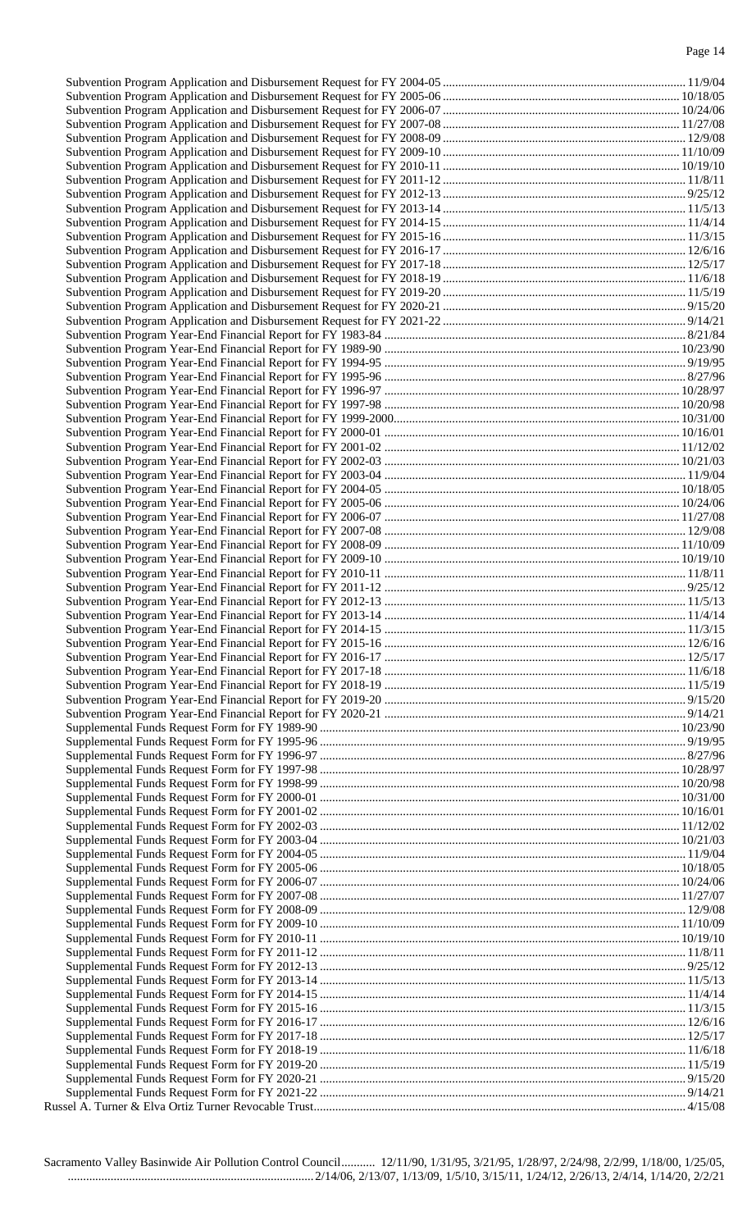Sacramento Valley Basinwide Air Pollution Control Council........... 12/11/90, 1/31/95, 3/21/95, 1/28/97, 2/24/98, 2/2/99, 1/18/00, 1/25/05, ................................................................................ 2/14/06, 2/13/07, 1/13/09, 1/5/10, 3/15/11, 1/24/12, 2/26/13, 2/4/14, 1/14/20, 2/2/21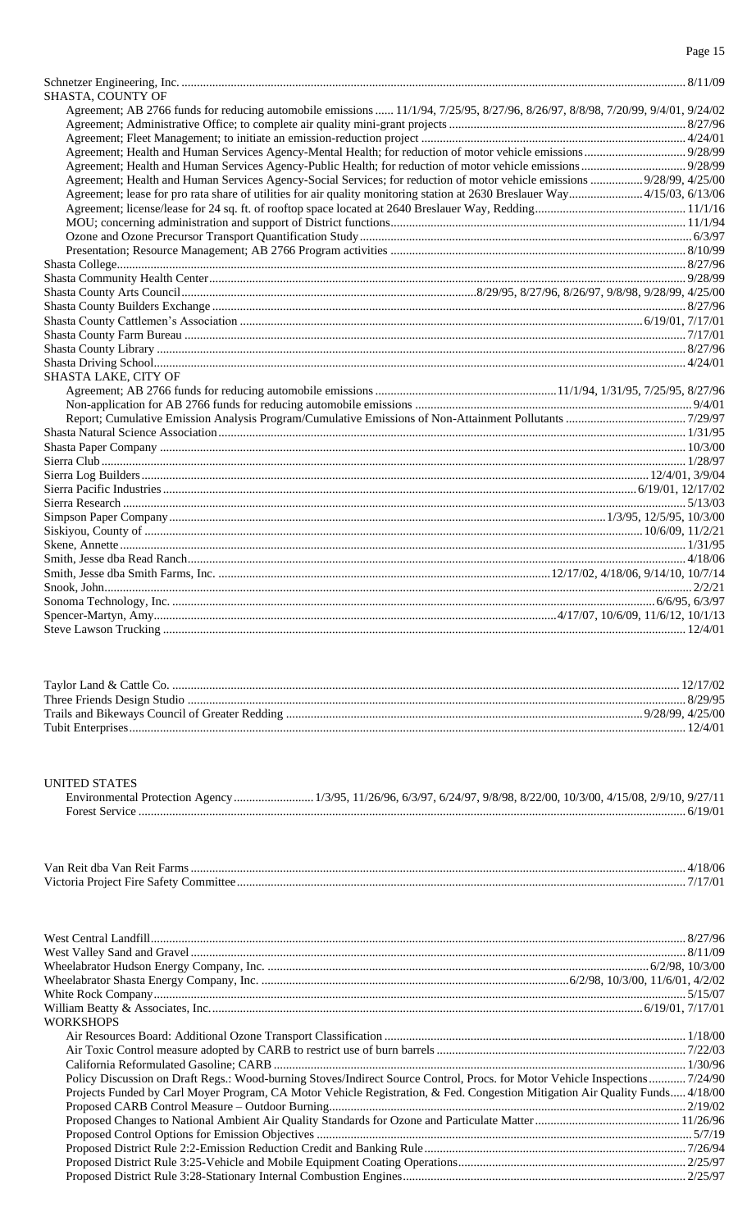| SHASTA, COUNTY OF<br>Agreement; AB 2766 funds for reducing automobile emissions  11/1/94, 7/25/95, 8/27/96, 8/26/97, 8/8/98, 7/20/99, 9/4/01, 9/24/02<br>Agreement; Health and Human Services Agency-Social Services; for reduction of motor vehicle emissions  9/28/99, 4/25/00<br>Agreement; lease for pro rata share of utilities for air quality monitoring station at 2630 Breslauer Way 4/15/03, 6/13/06<br>SHASTA LAKE, CITY OF |  |
|----------------------------------------------------------------------------------------------------------------------------------------------------------------------------------------------------------------------------------------------------------------------------------------------------------------------------------------------------------------------------------------------------------------------------------------|--|
|                                                                                                                                                                                                                                                                                                                                                                                                                                        |  |
|                                                                                                                                                                                                                                                                                                                                                                                                                                        |  |
|                                                                                                                                                                                                                                                                                                                                                                                                                                        |  |
|                                                                                                                                                                                                                                                                                                                                                                                                                                        |  |
|                                                                                                                                                                                                                                                                                                                                                                                                                                        |  |
|                                                                                                                                                                                                                                                                                                                                                                                                                                        |  |
|                                                                                                                                                                                                                                                                                                                                                                                                                                        |  |
|                                                                                                                                                                                                                                                                                                                                                                                                                                        |  |
|                                                                                                                                                                                                                                                                                                                                                                                                                                        |  |
|                                                                                                                                                                                                                                                                                                                                                                                                                                        |  |
|                                                                                                                                                                                                                                                                                                                                                                                                                                        |  |
|                                                                                                                                                                                                                                                                                                                                                                                                                                        |  |
|                                                                                                                                                                                                                                                                                                                                                                                                                                        |  |
|                                                                                                                                                                                                                                                                                                                                                                                                                                        |  |
|                                                                                                                                                                                                                                                                                                                                                                                                                                        |  |
|                                                                                                                                                                                                                                                                                                                                                                                                                                        |  |
|                                                                                                                                                                                                                                                                                                                                                                                                                                        |  |
|                                                                                                                                                                                                                                                                                                                                                                                                                                        |  |
|                                                                                                                                                                                                                                                                                                                                                                                                                                        |  |
|                                                                                                                                                                                                                                                                                                                                                                                                                                        |  |
|                                                                                                                                                                                                                                                                                                                                                                                                                                        |  |
|                                                                                                                                                                                                                                                                                                                                                                                                                                        |  |
|                                                                                                                                                                                                                                                                                                                                                                                                                                        |  |
|                                                                                                                                                                                                                                                                                                                                                                                                                                        |  |
|                                                                                                                                                                                                                                                                                                                                                                                                                                        |  |
|                                                                                                                                                                                                                                                                                                                                                                                                                                        |  |
|                                                                                                                                                                                                                                                                                                                                                                                                                                        |  |
|                                                                                                                                                                                                                                                                                                                                                                                                                                        |  |
|                                                                                                                                                                                                                                                                                                                                                                                                                                        |  |
|                                                                                                                                                                                                                                                                                                                                                                                                                                        |  |
|                                                                                                                                                                                                                                                                                                                                                                                                                                        |  |
|                                                                                                                                                                                                                                                                                                                                                                                                                                        |  |
|                                                                                                                                                                                                                                                                                                                                                                                                                                        |  |
|                                                                                                                                                                                                                                                                                                                                                                                                                                        |  |
|                                                                                                                                                                                                                                                                                                                                                                                                                                        |  |
|                                                                                                                                                                                                                                                                                                                                                                                                                                        |  |
|                                                                                                                                                                                                                                                                                                                                                                                                                                        |  |
|                                                                                                                                                                                                                                                                                                                                                                                                                                        |  |
|                                                                                                                                                                                                                                                                                                                                                                                                                                        |  |

| 12/4/01 |
|---------|

UNITED STATES

| Van Reit dha Van Reit |  |
|-----------------------|--|
| Victoria              |  |

| <b>WORKSHOPS</b>                                                                                                             |  |
|------------------------------------------------------------------------------------------------------------------------------|--|
|                                                                                                                              |  |
|                                                                                                                              |  |
|                                                                                                                              |  |
| Policy Discussion on Draft Regs.: Wood-burning Stoves/Indirect Source Control, Procs. for Motor Vehicle Inspections 7/24/90  |  |
| Projects Funded by Carl Moyer Program, CA Motor Vehicle Registration, & Fed. Congestion Mitigation Air Quality Funds 4/18/00 |  |
|                                                                                                                              |  |
|                                                                                                                              |  |
|                                                                                                                              |  |
|                                                                                                                              |  |
|                                                                                                                              |  |
|                                                                                                                              |  |
|                                                                                                                              |  |